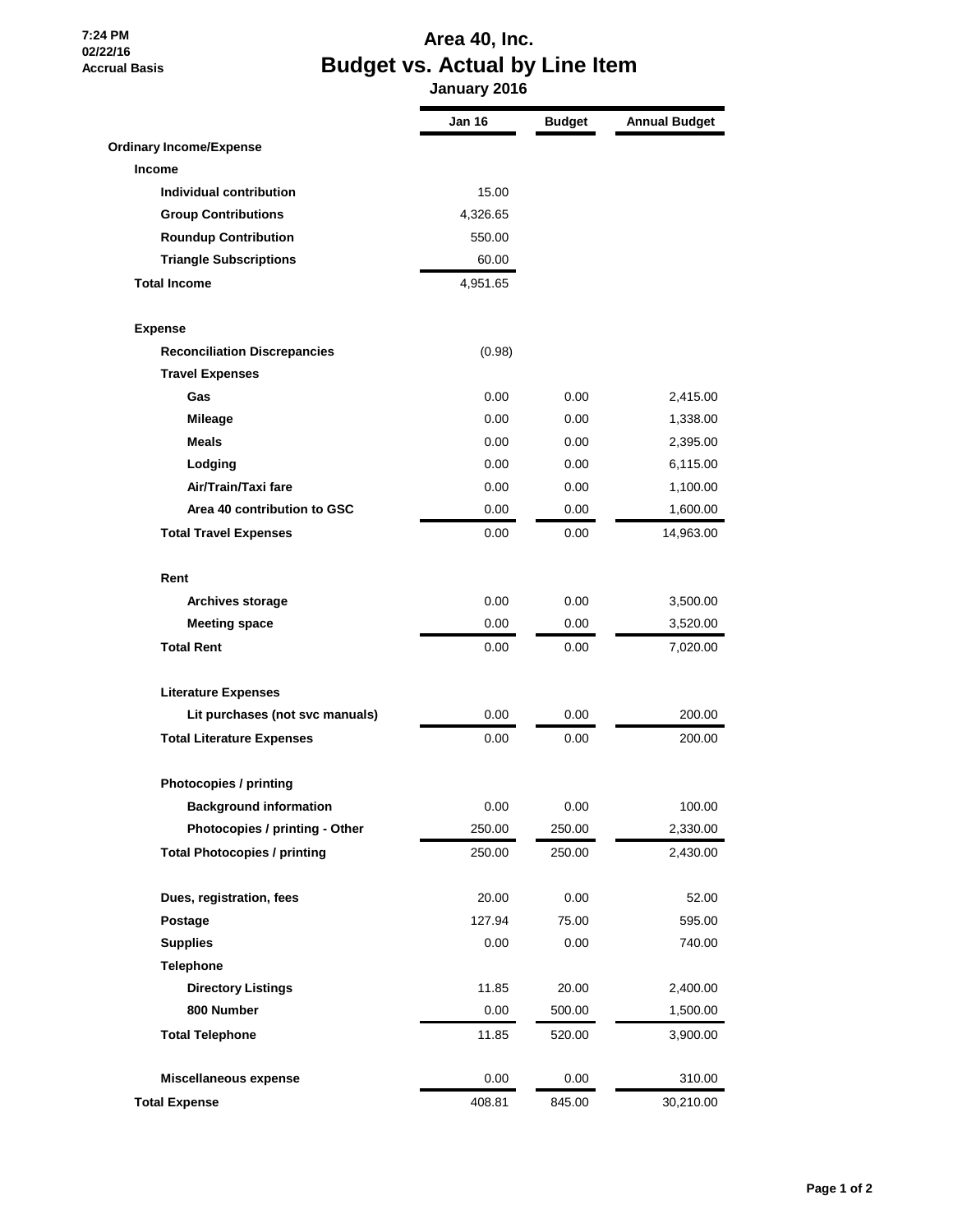**7:24 PM 02/22/16 Accrual Basis**

## **Area 40, Inc. Budget vs. Actual by Line Item**

 **January 2016**

|                                     | <b>Jan 16</b> | <b>Budget</b> | <b>Annual Budget</b> |
|-------------------------------------|---------------|---------------|----------------------|
| <b>Ordinary Income/Expense</b>      |               |               |                      |
| <b>Income</b>                       |               |               |                      |
| Individual contribution             | 15.00         |               |                      |
| <b>Group Contributions</b>          | 4,326.65      |               |                      |
| <b>Roundup Contribution</b>         | 550.00        |               |                      |
| <b>Triangle Subscriptions</b>       | 60.00         |               |                      |
| <b>Total Income</b>                 | 4,951.65      |               |                      |
| <b>Expense</b>                      |               |               |                      |
| <b>Reconciliation Discrepancies</b> | (0.98)        |               |                      |
| <b>Travel Expenses</b>              |               |               |                      |
| Gas                                 | 0.00          | 0.00          | 2,415.00             |
| <b>Mileage</b>                      | 0.00          | 0.00          | 1,338.00             |
| <b>Meals</b>                        | 0.00          | 0.00          | 2,395.00             |
| Lodging                             | 0.00          | 0.00          | 6,115.00             |
| Air/Train/Taxi fare                 | 0.00          | 0.00          | 1,100.00             |
| Area 40 contribution to GSC         | 0.00          | 0.00          | 1,600.00             |
| <b>Total Travel Expenses</b>        | 0.00          | 0.00          | 14,963.00            |
| Rent                                |               |               |                      |
| <b>Archives storage</b>             | 0.00          | 0.00          | 3,500.00             |
| <b>Meeting space</b>                | 0.00          | 0.00          | 3,520.00             |
| <b>Total Rent</b>                   | 0.00          | 0.00          | 7,020.00             |
| <b>Literature Expenses</b>          |               |               |                      |
| Lit purchases (not svc manuals)     | 0.00          | 0.00          | 200.00               |
| <b>Total Literature Expenses</b>    | 0.00          | 0.00          | 200.00               |
| <b>Photocopies / printing</b>       |               |               |                      |
| <b>Background information</b>       | 0.00          | 0.00          | 100.00               |
| Photocopies / printing - Other      | 250.00        | 250.00        | 2,330.00             |
| <b>Total Photocopies / printing</b> | 250.00        | 250.00        | 2,430.00             |
| Dues, registration, fees            | 20.00         | 0.00          | 52.00                |
| Postage                             | 127.94        | 75.00         | 595.00               |
| <b>Supplies</b>                     | 0.00          | 0.00          | 740.00               |
| <b>Telephone</b>                    |               |               |                      |
| <b>Directory Listings</b>           | 11.85         | 20.00         | 2,400.00             |
| 800 Number                          | 0.00          | 500.00        | 1,500.00             |
| <b>Total Telephone</b>              | 11.85         | 520.00        | 3,900.00             |
| Miscellaneous expense               | 0.00          | 0.00          | 310.00               |
| <b>Total Expense</b>                | 408.81        | 845.00        | 30,210.00            |